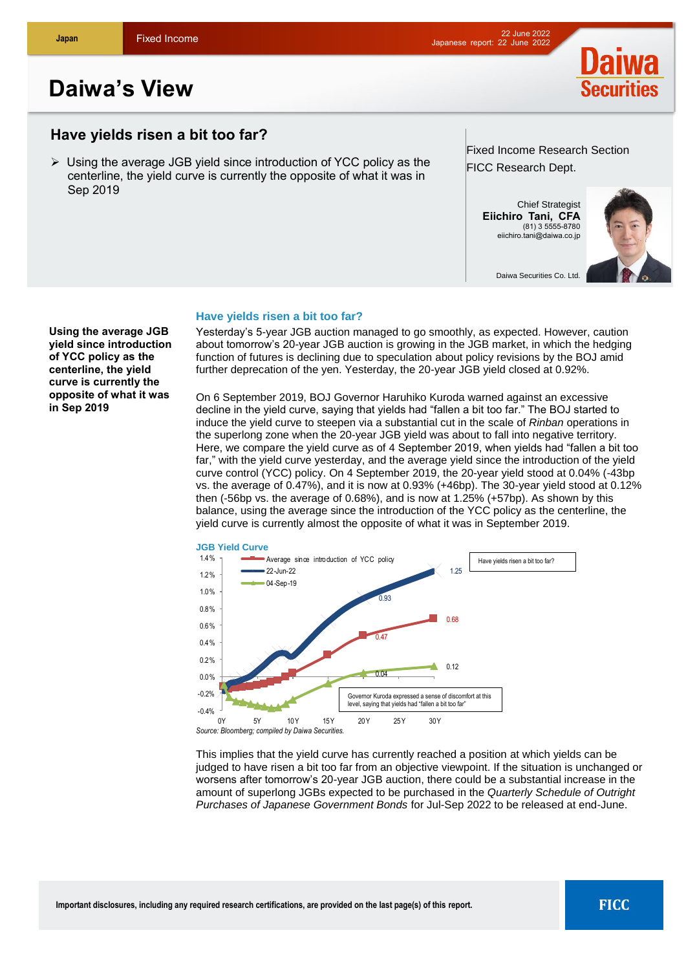# **Daiwa's View**

# **Have yields risen a bit too far?**

 Using the average JGB yield since introduction of YCC policy as the centerline, the yield curve is currently the opposite of what it was in Sep 2019

## Fixed Income Research Section FICC Research Dept.

Chief Strategist **Eiichiro Tani, CFA** (81) 3 5555-8780 [eiichiro.tani@daiwa.co.jp](mailto:eiichiro.tani@daiwa.co.jp)

Daiwa Securities Co. Ltd.



**Using the average JGB yield since introduction of YCC policy as the centerline, the yield curve is currently the opposite of what it was in Sep 2019**

## **Have yields risen a bit too far?**

Yesterday's 5-year JGB auction managed to go smoothly, as expected. However, caution about tomorrow's 20-year JGB auction is growing in the JGB market, in which the hedging function of futures is declining due to speculation about policy revisions by the BOJ amid further deprecation of the yen. Yesterday, the 20-year JGB yield closed at 0.92%.

On 6 September 2019, BOJ Governor Haruhiko Kuroda warned against an excessive decline in the yield curve, saying that yields had "fallen a bit too far." The BOJ started to induce the yield curve to steepen via a substantial cut in the scale of *Rinban* operations in the superlong zone when the 20-year JGB yield was about to fall into negative territory. Here, we compare the yield curve as of 4 September 2019, when yields had "fallen a bit too far," with the yield curve yesterday, and the average yield since the introduction of the yield curve control (YCC) policy. On 4 September 2019, the 20-year yield stood at 0.04% (-43bp vs. the average of 0.47%), and it is now at 0.93% (+46bp). The 30-year yield stood at 0.12% then (-56bp vs. the average of 0.68%), and is now at 1.25% (+57bp). As shown by this balance, using the average since the introduction of the YCC policy as the centerline, the yield curve is currently almost the opposite of what it was in September 2019.



This implies that the yield curve has currently reached a position at which yields can be judged to have risen a bit too far from an objective viewpoint. If the situation is unchanged or worsens after tomorrow's 20-year JGB auction, there could be a substantial increase in the amount of superlong JGBs expected to be purchased in the *Quarterly Schedule of Outright Purchases of Japanese Government Bonds* for Jul-Sep 2022 to be released at end-June.



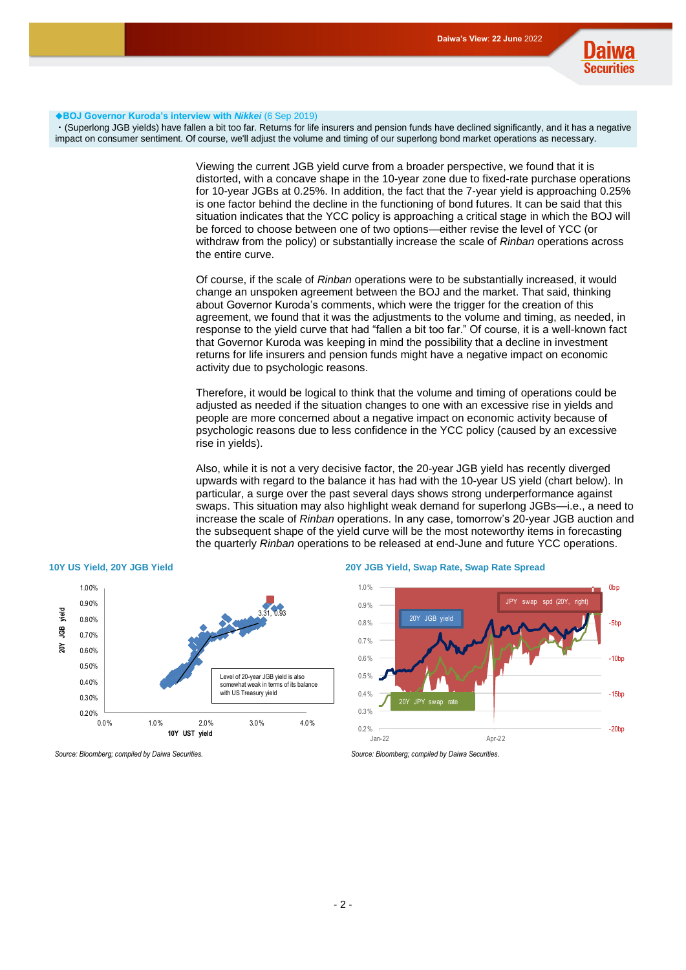

#### ◆**BOJ Governor Kuroda's interview with** *Nikkei* (6 Sep 2019)

・(Superlong JGB yields) have fallen a bit too far. Returns for life insurers and pension funds have declined significantly, and it has a negative impact on consumer sentiment. Of course, we'll adjust the volume and timing of our superlong bond market operations as necessary.

> Viewing the current JGB yield curve from a broader perspective, we found that it is distorted, with a concave shape in the 10-year zone due to fixed-rate purchase operations for 10-year JGBs at 0.25%. In addition, the fact that the 7-year yield is approaching 0.25% is one factor behind the decline in the functioning of bond futures. It can be said that this situation indicates that the YCC policy is approaching a critical stage in which the BOJ will be forced to choose between one of two options—either revise the level of YCC (or withdraw from the policy) or substantially increase the scale of *Rinban* operations across the entire curve.

> Of course, if the scale of *Rinban* operations were to be substantially increased, it would change an unspoken agreement between the BOJ and the market. That said, thinking about Governor Kuroda's comments, which were the trigger for the creation of this agreement, we found that it was the adjustments to the volume and timing, as needed, in response to the yield curve that had "fallen a bit too far." Of course, it is a well-known fact that Governor Kuroda was keeping in mind the possibility that a decline in investment returns for life insurers and pension funds might have a negative impact on economic activity due to psychologic reasons.

Therefore, it would be logical to think that the volume and timing of operations could be adjusted as needed if the situation changes to one with an excessive rise in yields and people are more concerned about a negative impact on economic activity because of psychologic reasons due to less confidence in the YCC policy (caused by an excessive rise in yields).

Also, while it is not a very decisive factor, the 20-year JGB yield has recently diverged upwards with regard to the balance it has had with the 10-year US yield (chart below). In particular, a surge over the past several days shows strong underperformance against swaps. This situation may also highlight weak demand for superlong JGBs—i.e., a need to increase the scale of *Rinban* operations. In any case, tomorrow's 20-year JGB auction and the subsequent shape of the yield curve will be the most noteworthy items in forecasting the quarterly *Rinban* operations to be released at end-June and future YCC operations.



#### **10Y US Yield, 20Y JGB Yield 20Y JGB Yield, Swap Rate, Swap Rate Spread**



#### *Source: Bloomberg; compiled by Daiwa Securities. Source: Bloomberg; compiled by Daiwa Securities.*